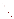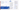helps EPA staff members meet deadlines and achieve goals with the expected resources.

If you plan and organize public involvement activities well, you can make the entire process clear to the public and clarify their role. Groups and individuals will better understand when and where they can effectively involve themselves with EPA decision making.

Remember that budgeting is part of planning. Developing a comprehensive budget will depend on many factors. For example, you should not budget for education and outreach until you know how extensive it needs to be.

Costs of involvement activities vary a lot, so budgets will too. It is critical to integrate the public involvement budget into your program's overall strategic planning process during the earliest stages of EPA planning and action.

## Plan Your Work

### How to Organize Your Public Involvement Planning and Budgeting

The Website for the "Internet Dialogue on Public Involvement in EPA Decisions" is http://www.network-democracy.org/epa/epa-pip

- Clearly define the purpose, goals, and objectives of the public involvement.
- Identify the target audiences and become familiar with the community or affected public's issues.
- Communicate with other Agency staff who may have worked on similar public involvement activities or with

similar audiences for ideas, information, resources/budget questions and key contacts.

- Find out how knowledgeable the community or affected public is about the issues and what additional information will be useful to them.
- Determine the best method and costs for communicating with the community or affected public (e.g., electronically, mailings, meetings, door-to-door contact, advertisements, etc.).

#### More Information about the Policy

Copies of the Policy and the Framework for implementing it are available at http://www.epa.gov/publicinvolvement/policy2003/ policy2003.pdf and http://www.epa.gov/publicinvolvement/policy2003/ framework.pdf

EPA's Response to Comments on the Draft 2000 Public Involvement Policy is available at http://www.epa.gov/public involvement/policy2003/response.pdf

Plan and Budget for Public Involvement



Involvement brings the pieces together

Step 1: Plan and **Budget for Public** Involvement

#### Goal:

- To ensure effective public involvement processes through adequate budgeting and thorough planning.

The U.S. Environmental Protection Agency (EPA) issued its new Public Involvement Policy in June 2003. The Policy's overall goal is for excellent public involvement to become an integral part of EPA's culture, thus supporting more effective Agency decisions and actions.

The Policy provides guidance to EPA managers and staff on how you can better involve the public in the Agency's decision making. The Policy outlines seven steps to effective involvement. This brochure (one in a series) offers suggestions to help you "get started" planning and budgeting public involvement activities and processes.

### Why Plan and Budget for Public Involvement?

Planning public involvement activities and adequately budgeting resources (time, money, and in-kind efforts) help ensure an effective public involvement process. Early planning helps get these activities and processes moving in an orderly way, both within EPA and with the public.

### What to Consider in Public Involvement Planning and Budgeting

When you begin thinking about the strategic planning process, recognize that planning for involvement up front

"Planning for public involvement should occur in the context of larger program planning efforts. This can facilitate earlier involvement and reduce resources needed for implementation. Even more importantly, such planning increases the likelihood that public involvement will become an integral part of agency programs, rather than a less effective add-on to agency efforts."

Caron Chess, Rutgers University Center for Environmental Communication Public Comments on the 2000 Draft Public Involvement Policy

z ш

ត

EPA 233-F-03-005

"Involvement brings the pieces together" artwork is the creation of Erica Ann Turner, who contributed the work through an agreement between the Art Institute of Washington and EPA.



United States Environmental Protection Agency National Center for Environmental Innovation Public Involvement Staff 1200 Pennsylvania Avenue, NW 1807T Washington, DC 20460



### Plan & Budget

- Identify audience
- Research needs
- Clarify goals & key leads
- Prioritize time line
- Outline budget
- Anticipate barriers